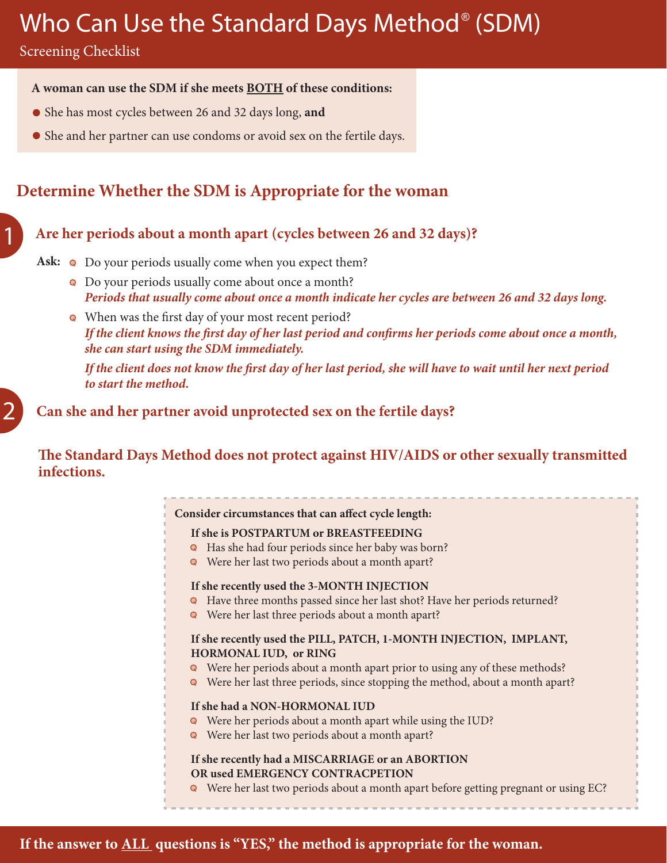# Who Can Use the Standard Days Method® (SDM)

Screening Checklist

1

2

### **A woman can use the SDM if she meets BOTH of these conditions:**

- She has most cycles between 26 and 32 days long, **and**
- She and her partner can use condoms or avoid sex on the fertile days.

## **Determine Whether the SDM is Appropriate for the woman**

## **Are her periods about a month apart (cycles between 26 and 32 days)?**

### Ask:  $\bullet$  Do your periods usually come when you expect them?

- Do your periods usually come about once a month? *Periods that usually come about once a month indicate her cycles are between 26 and 32 days long.*
- When was the first day of your most recent period? *If the client knows the first day of her last period and confirms her periods come about once a month, she can start using the SDM immediately.*

*If the client does not know the first day of her last period, she will have to wait until her next period to start the method.*

**Can she and her partner avoid unprotected sex on the fertile days?**

**The Standard Days Method does not protect against HIV/AIDS or other sexually transmitted infections.**

### **Consider circumstances that can affect cycle length:**

#### **If she is POSTPARTUM or BREASTFEEDING**

- Has she had four periods since her baby was born?
- Were her last two periods about a month apart?

#### **If she recently used the 3-MONTH INJECTION**

- Have three months passed since her last shot? Have her periods returned?
- Were her last three periods about a month apart?

#### **If she recently used the PILL, PATCH, 1-MONTH INJECTION, IMPLANT, HORMONAL IUD, or RING**

- Were her periods about a month apart prior to using any of these methods?
- Were her last three periods, since stopping the method, about a month apart?

#### **If she had a NON-HORMONAL IUD**

- Were her periods about a month apart while using the IUD?
- Were her last two periods about a month apart?

#### **If she recently had a MISCARRIAGE or an ABORTION OR used EMERGENCY CONTRACPETION**

Were her last two periods about a month apart before getting pregnant or using EC?